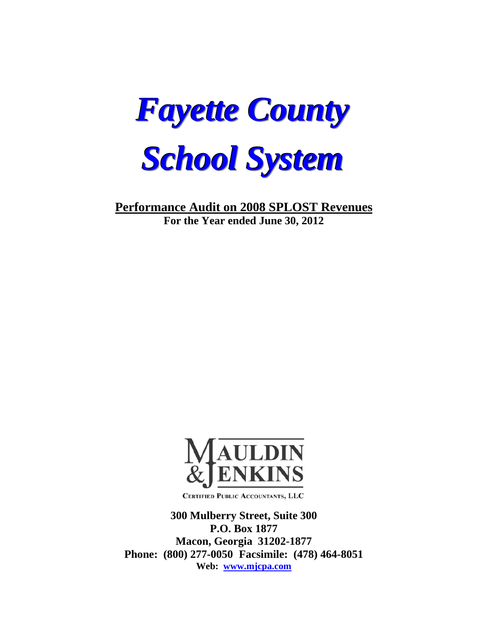

**Performance Audit on 2008 SPLOST Revenues For the Year ended June 30, 2012** 



**CERTIFIED PUBLIC ACCOUNTANTS, LLC** 

**300 Mulberry Street, Suite 300 P.O. Box 1877 Macon, Georgia 31202-1877 Phone: (800) 277-0050 Facsimile: (478) 464-8051 Web: www.mjcpa.com**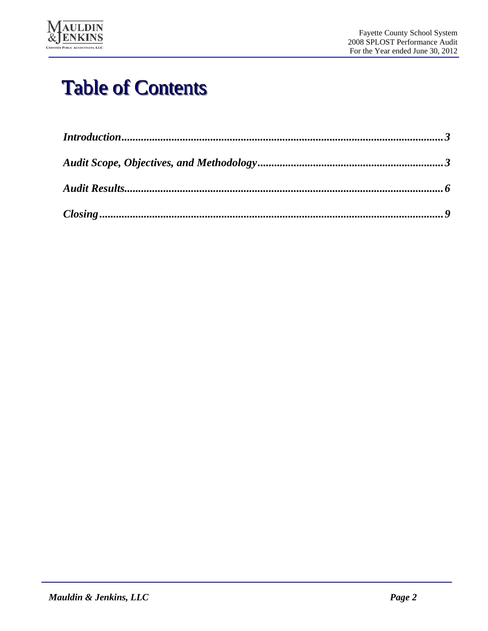

# Table of Contents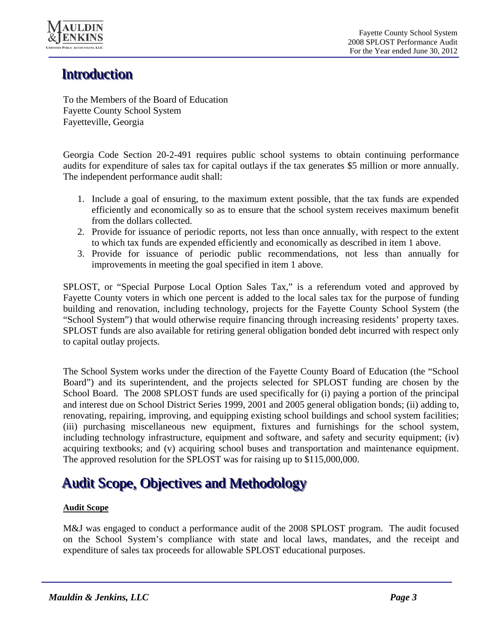

# **Introduction**

To the Members of the Board of Education Fayette County School System Fayetteville, Georgia

Georgia Code Section 20-2-491 requires public school systems to obtain continuing performance audits for expenditure of sales tax for capital outlays if the tax generates \$5 million or more annually. The independent performance audit shall:

- 1. Include a goal of ensuring, to the maximum extent possible, that the tax funds are expended efficiently and economically so as to ensure that the school system receives maximum benefit from the dollars collected.
- 2. Provide for issuance of periodic reports, not less than once annually, with respect to the extent to which tax funds are expended efficiently and economically as described in item 1 above.
- 3. Provide for issuance of periodic public recommendations, not less than annually for improvements in meeting the goal specified in item 1 above.

SPLOST, or "Special Purpose Local Option Sales Tax," is a referendum voted and approved by Fayette County voters in which one percent is added to the local sales tax for the purpose of funding building and renovation, including technology, projects for the Fayette County School System (the "School System") that would otherwise require financing through increasing residents' property taxes. SPLOST funds are also available for retiring general obligation bonded debt incurred with respect only to capital outlay projects.

The School System works under the direction of the Fayette County Board of Education (the "School Board") and its superintendent, and the projects selected for SPLOST funding are chosen by the School Board. The 2008 SPLOST funds are used specifically for (i) paying a portion of the principal and interest due on School District Series 1999, 2001 and 2005 general obligation bonds; (ii) adding to, renovating, repairing, improving, and equipping existing school buildings and school system facilities; (iii) purchasing miscellaneous new equipment, fixtures and furnishings for the school system, including technology infrastructure, equipment and software, and safety and security equipment; (iv) acquiring textbooks; and (v) acquiring school buses and transportation and maintenance equipment. The approved resolution for the SPLOST was for raising up to \$115,000,000.

# Audit Scope, Objectives and Methodology

## **Audit Scope**

M&J was engaged to conduct a performance audit of the 2008 SPLOST program. The audit focused on the School System's compliance with state and local laws, mandates, and the receipt and expenditure of sales tax proceeds for allowable SPLOST educational purposes.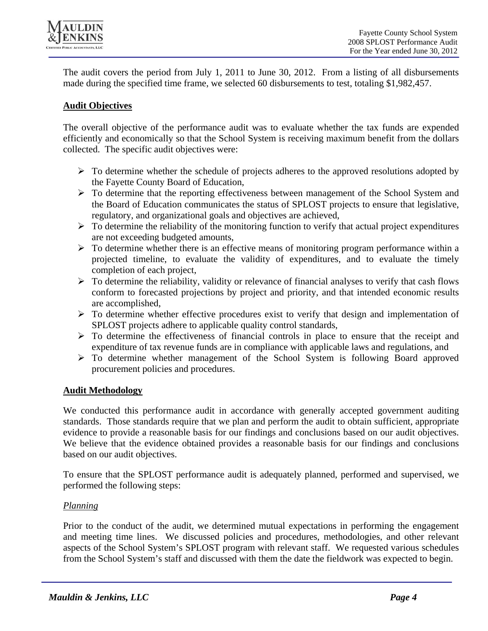

The audit covers the period from July 1, 2011 to June 30, 2012. From a listing of all disbursements made during the specified time frame, we selected 60 disbursements to test, totaling \$1,982,457.

### **Audit Objectives**

The overall objective of the performance audit was to evaluate whether the tax funds are expended efficiently and economically so that the School System is receiving maximum benefit from the dollars collected. The specific audit objectives were:

- $\triangleright$  To determine whether the schedule of projects adheres to the approved resolutions adopted by the Fayette County Board of Education,
- To determine that the reporting effectiveness between management of the School System and the Board of Education communicates the status of SPLOST projects to ensure that legislative, regulatory, and organizational goals and objectives are achieved,
- $\triangleright$  To determine the reliability of the monitoring function to verify that actual project expenditures are not exceeding budgeted amounts,
- $\triangleright$  To determine whether there is an effective means of monitoring program performance within a projected timeline, to evaluate the validity of expenditures, and to evaluate the timely completion of each project,
- $\triangleright$  To determine the reliability, validity or relevance of financial analyses to verify that cash flows conform to forecasted projections by project and priority, and that intended economic results are accomplished,
- $\triangleright$  To determine whether effective procedures exist to verify that design and implementation of SPLOST projects adhere to applicable quality control standards,
- $\triangleright$  To determine the effectiveness of financial controls in place to ensure that the receipt and expenditure of tax revenue funds are in compliance with applicable laws and regulations, and
- $\triangleright$  To determine whether management of the School System is following Board approved procurement policies and procedures.

## **Audit Methodology**

We conducted this performance audit in accordance with generally accepted government auditing standards. Those standards require that we plan and perform the audit to obtain sufficient, appropriate evidence to provide a reasonable basis for our findings and conclusions based on our audit objectives. We believe that the evidence obtained provides a reasonable basis for our findings and conclusions based on our audit objectives.

To ensure that the SPLOST performance audit is adequately planned, performed and supervised, we performed the following steps:

#### *Planning*

Prior to the conduct of the audit, we determined mutual expectations in performing the engagement and meeting time lines. We discussed policies and procedures, methodologies, and other relevant aspects of the School System's SPLOST program with relevant staff. We requested various schedules from the School System's staff and discussed with them the date the fieldwork was expected to begin.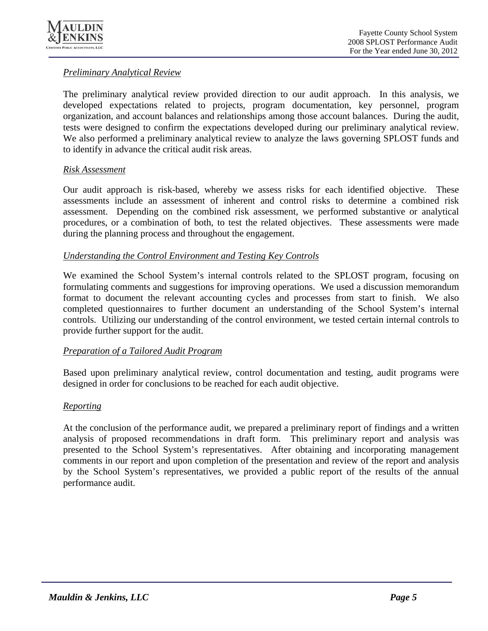

## *Preliminary Analytical Review*

The preliminary analytical review provided direction to our audit approach. In this analysis, we developed expectations related to projects, program documentation, key personnel, program organization, and account balances and relationships among those account balances. During the audit, tests were designed to confirm the expectations developed during our preliminary analytical review. We also performed a preliminary analytical review to analyze the laws governing SPLOST funds and to identify in advance the critical audit risk areas.

### *Risk Assessment*

Our audit approach is risk-based, whereby we assess risks for each identified objective. These assessments include an assessment of inherent and control risks to determine a combined risk assessment. Depending on the combined risk assessment, we performed substantive or analytical procedures, or a combination of both, to test the related objectives. These assessments were made during the planning process and throughout the engagement.

### *Understanding the Control Environment and Testing Key Controls*

We examined the School System's internal controls related to the SPLOST program, focusing on formulating comments and suggestions for improving operations. We used a discussion memorandum format to document the relevant accounting cycles and processes from start to finish. We also completed questionnaires to further document an understanding of the School System's internal controls. Utilizing our understanding of the control environment, we tested certain internal controls to provide further support for the audit.

## *Preparation of a Tailored Audit Program*

Based upon preliminary analytical review, control documentation and testing, audit programs were designed in order for conclusions to be reached for each audit objective.

#### *Reporting*

At the conclusion of the performance audit, we prepared a preliminary report of findings and a written analysis of proposed recommendations in draft form. This preliminary report and analysis was presented to the School System's representatives. After obtaining and incorporating management comments in our report and upon completion of the presentation and review of the report and analysis by the School System's representatives, we provided a public report of the results of the annual performance audit.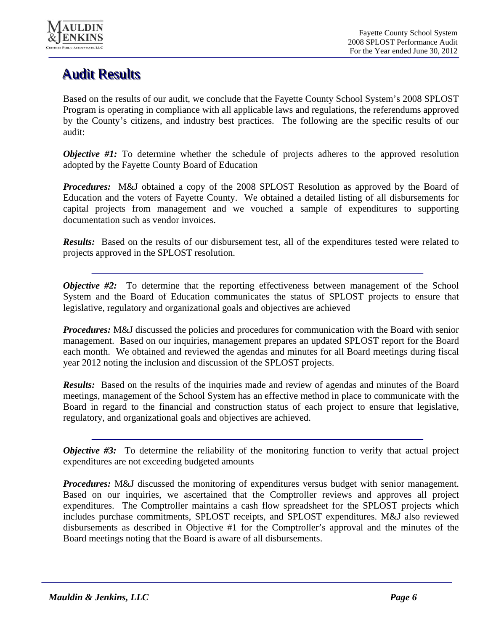

# **Audit Results**

Based on the results of our audit, we conclude that the Fayette County School System's 2008 SPLOST Program is operating in compliance with all applicable laws and regulations, the referendums approved by the County's citizens, and industry best practices. The following are the specific results of our audit:

*Objective #1:* To determine whether the schedule of projects adheres to the approved resolution adopted by the Fayette County Board of Education

*Procedures:* M&J obtained a copy of the 2008 SPLOST Resolution as approved by the Board of Education and the voters of Fayette County. We obtained a detailed listing of all disbursements for capital projects from management and we vouched a sample of expenditures to supporting documentation such as vendor invoices.

*Results:* Based on the results of our disbursement test, all of the expenditures tested were related to projects approved in the SPLOST resolution.

*Objective #2:* To determine that the reporting effectiveness between management of the School System and the Board of Education communicates the status of SPLOST projects to ensure that legislative, regulatory and organizational goals and objectives are achieved

*Procedures:* M&J discussed the policies and procedures for communication with the Board with senior management. Based on our inquiries, management prepares an updated SPLOST report for the Board each month. We obtained and reviewed the agendas and minutes for all Board meetings during fiscal year 2012 noting the inclusion and discussion of the SPLOST projects.

*Results:* Based on the results of the inquiries made and review of agendas and minutes of the Board meetings, management of the School System has an effective method in place to communicate with the Board in regard to the financial and construction status of each project to ensure that legislative, regulatory, and organizational goals and objectives are achieved.

*Objective #3:* To determine the reliability of the monitoring function to verify that actual project expenditures are not exceeding budgeted amounts

*Procedures:* M&J discussed the monitoring of expenditures versus budget with senior management. Based on our inquiries, we ascertained that the Comptroller reviews and approves all project expenditures. The Comptroller maintains a cash flow spreadsheet for the SPLOST projects which includes purchase commitments, SPLOST receipts, and SPLOST expenditures. M&J also reviewed disbursements as described in Objective #1 for the Comptroller's approval and the minutes of the Board meetings noting that the Board is aware of all disbursements.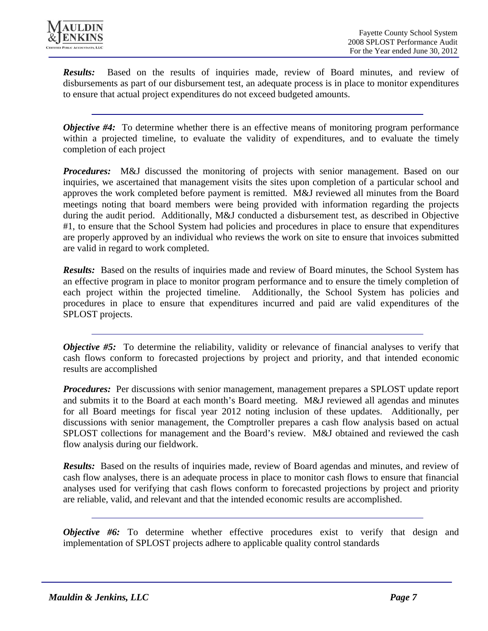

*Results:* Based on the results of inquiries made, review of Board minutes, and review of disbursements as part of our disbursement test, an adequate process is in place to monitor expenditures to ensure that actual project expenditures do not exceed budgeted amounts.

*Objective #4:* To determine whether there is an effective means of monitoring program performance within a projected timeline, to evaluate the validity of expenditures, and to evaluate the timely completion of each project

*Procedures:* M&J discussed the monitoring of projects with senior management. Based on our inquiries, we ascertained that management visits the sites upon completion of a particular school and approves the work completed before payment is remitted. M&J reviewed all minutes from the Board meetings noting that board members were being provided with information regarding the projects during the audit period. Additionally, M&J conducted a disbursement test, as described in Objective #1, to ensure that the School System had policies and procedures in place to ensure that expenditures are properly approved by an individual who reviews the work on site to ensure that invoices submitted are valid in regard to work completed.

*Results:* Based on the results of inquiries made and review of Board minutes, the School System has an effective program in place to monitor program performance and to ensure the timely completion of each project within the projected timeline. Additionally, the School System has policies and procedures in place to ensure that expenditures incurred and paid are valid expenditures of the SPLOST projects.

*Objective #5:* To determine the reliability, validity or relevance of financial analyses to verify that cash flows conform to forecasted projections by project and priority, and that intended economic results are accomplished

*Procedures:* Per discussions with senior management, management prepares a SPLOST update report and submits it to the Board at each month's Board meeting. M&J reviewed all agendas and minutes for all Board meetings for fiscal year 2012 noting inclusion of these updates. Additionally, per discussions with senior management, the Comptroller prepares a cash flow analysis based on actual SPLOST collections for management and the Board's review. M&J obtained and reviewed the cash flow analysis during our fieldwork.

*Results:* Based on the results of inquiries made, review of Board agendas and minutes, and review of cash flow analyses, there is an adequate process in place to monitor cash flows to ensure that financial analyses used for verifying that cash flows conform to forecasted projections by project and priority are reliable, valid, and relevant and that the intended economic results are accomplished.

*Objective #6:* To determine whether effective procedures exist to verify that design and implementation of SPLOST projects adhere to applicable quality control standards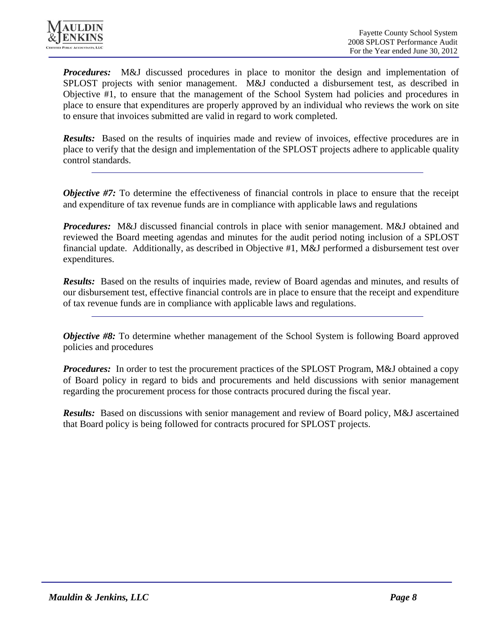

*Procedures:* M&J discussed procedures in place to monitor the design and implementation of SPLOST projects with senior management. M&J conducted a disbursement test, as described in Objective #1, to ensure that the management of the School System had policies and procedures in place to ensure that expenditures are properly approved by an individual who reviews the work on site to ensure that invoices submitted are valid in regard to work completed.

*Results:* Based on the results of inquiries made and review of invoices, effective procedures are in place to verify that the design and implementation of the SPLOST projects adhere to applicable quality control standards.

*Objective #7:* To determine the effectiveness of financial controls in place to ensure that the receipt and expenditure of tax revenue funds are in compliance with applicable laws and regulations

*Procedures:* M&J discussed financial controls in place with senior management. M&J obtained and reviewed the Board meeting agendas and minutes for the audit period noting inclusion of a SPLOST financial update. Additionally, as described in Objective #1, M&J performed a disbursement test over expenditures.

*Results:* Based on the results of inquiries made, review of Board agendas and minutes, and results of our disbursement test, effective financial controls are in place to ensure that the receipt and expenditure of tax revenue funds are in compliance with applicable laws and regulations.

*Objective #8:* To determine whether management of the School System is following Board approved policies and procedures

*Procedures:* In order to test the procurement practices of the SPLOST Program, M&J obtained a copy of Board policy in regard to bids and procurements and held discussions with senior management regarding the procurement process for those contracts procured during the fiscal year.

*Results:* Based on discussions with senior management and review of Board policy, M&J ascertained that Board policy is being followed for contracts procured for SPLOST projects.